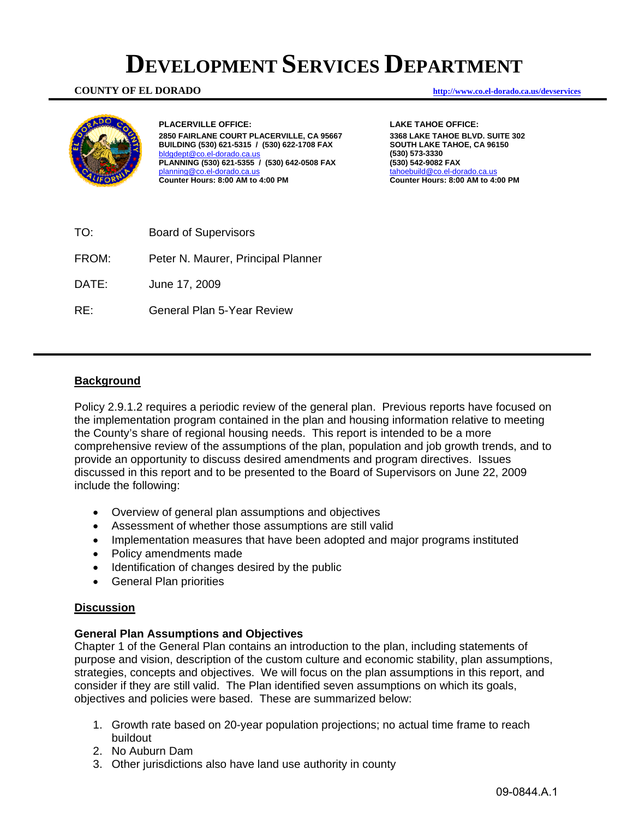# **DEVELOPMENT SERVICES DEPARTMENT**

#### **COUNTY OF EL DORADO http://www.co.el-dorado.ca.us/devservices**



**PLACERVILLE OFFICE: 2850 FAIRLANE COURT PLACERVILLE, CA 95667 BUILDING (530) 621-5315 / (530) 622-1708 FAX**  bldgdept@co.el-dorado.ca.us **PLANNING (530) 621-5355 / (530) 642-0508 FAX**  planning@co.el-dorado.ca.u **Counter Hours: 8:00 AM to 4:00 PM** 

**LAKE TAHOE OFFICE: 3368 LAKE TAHOE BLVD. SUITE 302 SOUTH LAKE TAHOE, CA 96150 (530) 573-3330 (530) 542-9082 FAX**  tahoebuild@co.el-dorado.ca.us **Counter Hours: 8:00 AM to 4:00 PM** 

TO: Board of Supervisors FROM: Peter N. Maurer, Principal Planner DATE: June 17, 2009 RE: General Plan 5-Year Review

# **Background**

Policy 2.9.1.2 requires a periodic review of the general plan. Previous reports have focused on the implementation program contained in the plan and housing information relative to meeting the County's share of regional housing needs. This report is intended to be a more comprehensive review of the assumptions of the plan, population and job growth trends, and to provide an opportunity to discuss desired amendments and program directives. Issues discussed in this report and to be presented to the Board of Supervisors on June 22, 2009 include the following:

- Overview of general plan assumptions and objectives
- Assessment of whether those assumptions are still valid
- Implementation measures that have been adopted and major programs instituted
- Policy amendments made
- Identification of changes desired by the public
- General Plan priorities

#### **Discussion**

#### **General Plan Assumptions and Objectives**

Chapter 1 of the General Plan contains an introduction to the plan, including statements of purpose and vision, description of the custom culture and economic stability, plan assumptions, strategies, concepts and objectives. We will focus on the plan assumptions in this report, and consider if they are still valid. The Plan identified seven assumptions on which its goals, objectives and policies were based. These are summarized below:

- 1. Growth rate based on 20-year population projections; no actual time frame to reach buildout
- 2. No Auburn Dam
- 3. Other jurisdictions also have land use authority in county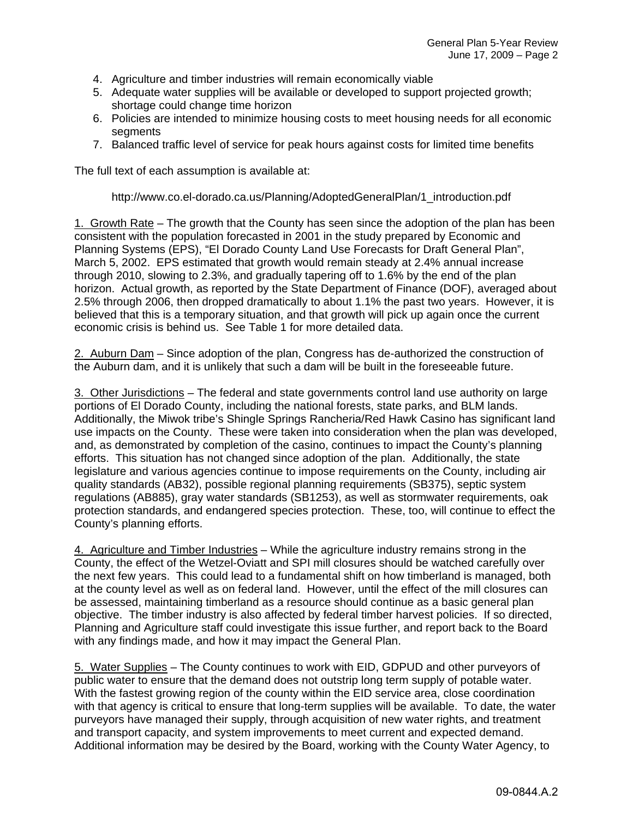- 4. Agriculture and timber industries will remain economically viable
- 5. Adequate water supplies will be available or developed to support projected growth; shortage could change time horizon
- 6. Policies are intended to minimize housing costs to meet housing needs for all economic segments
- 7. Balanced traffic level of service for peak hours against costs for limited time benefits

The full text of each assumption is available at:

http://www.co.el-dorado.ca.us/Planning/AdoptedGeneralPlan/1\_introduction.pdf

1. Growth Rate – The growth that the County has seen since the adoption of the plan has been consistent with the population forecasted in 2001 in the study prepared by Economic and Planning Systems (EPS), "El Dorado County Land Use Forecasts for Draft General Plan", March 5, 2002. EPS estimated that growth would remain steady at 2.4% annual increase through 2010, slowing to 2.3%, and gradually tapering off to 1.6% by the end of the plan horizon. Actual growth, as reported by the State Department of Finance (DOF), averaged about 2.5% through 2006, then dropped dramatically to about 1.1% the past two years. However, it is believed that this is a temporary situation, and that growth will pick up again once the current economic crisis is behind us. See Table 1 for more detailed data.

2. Auburn Dam – Since adoption of the plan, Congress has de-authorized the construction of the Auburn dam, and it is unlikely that such a dam will be built in the foreseeable future.

3. Other Jurisdictions – The federal and state governments control land use authority on large portions of El Dorado County, including the national forests, state parks, and BLM lands. Additionally, the Miwok tribe's Shingle Springs Rancheria/Red Hawk Casino has significant land use impacts on the County. These were taken into consideration when the plan was developed, and, as demonstrated by completion of the casino, continues to impact the County's planning efforts. This situation has not changed since adoption of the plan. Additionally, the state legislature and various agencies continue to impose requirements on the County, including air quality standards (AB32), possible regional planning requirements (SB375), septic system regulations (AB885), gray water standards (SB1253), as well as stormwater requirements, oak protection standards, and endangered species protection. These, too, will continue to effect the County's planning efforts.

4. Agriculture and Timber Industries – While the agriculture industry remains strong in the County, the effect of the Wetzel-Oviatt and SPI mill closures should be watched carefully over the next few years. This could lead to a fundamental shift on how timberland is managed, both at the county level as well as on federal land. However, until the effect of the mill closures can be assessed, maintaining timberland as a resource should continue as a basic general plan objective. The timber industry is also affected by federal timber harvest policies. If so directed, Planning and Agriculture staff could investigate this issue further, and report back to the Board with any findings made, and how it may impact the General Plan.

5. Water Supplies – The County continues to work with EID, GDPUD and other purveyors of public water to ensure that the demand does not outstrip long term supply of potable water. With the fastest growing region of the county within the EID service area, close coordination with that agency is critical to ensure that long-term supplies will be available. To date, the water purveyors have managed their supply, through acquisition of new water rights, and treatment and transport capacity, and system improvements to meet current and expected demand. Additional information may be desired by the Board, working with the County Water Agency, to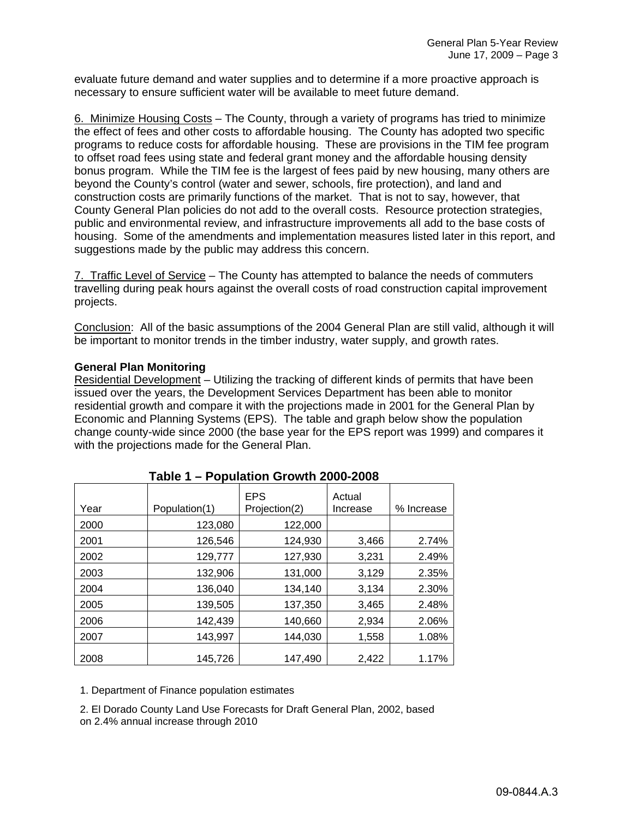evaluate future demand and water supplies and to determine if a more proactive approach is necessary to ensure sufficient water will be available to meet future demand.

6. Minimize Housing Costs – The County, through a variety of programs has tried to minimize the effect of fees and other costs to affordable housing. The County has adopted two specific programs to reduce costs for affordable housing. These are provisions in the TIM fee program to offset road fees using state and federal grant money and the affordable housing density bonus program. While the TIM fee is the largest of fees paid by new housing, many others are beyond the County's control (water and sewer, schools, fire protection), and land and construction costs are primarily functions of the market. That is not to say, however, that County General Plan policies do not add to the overall costs. Resource protection strategies, public and environmental review, and infrastructure improvements all add to the base costs of housing. Some of the amendments and implementation measures listed later in this report, and suggestions made by the public may address this concern.

7. Traffic Level of Service – The County has attempted to balance the needs of commuters travelling during peak hours against the overall costs of road construction capital improvement projects.

Conclusion: All of the basic assumptions of the 2004 General Plan are still valid, although it will be important to monitor trends in the timber industry, water supply, and growth rates.

#### **General Plan Monitoring**

Residential Development – Utilizing the tracking of different kinds of permits that have been issued over the years, the Development Services Department has been able to monitor residential growth and compare it with the projections made in 2001 for the General Plan by Economic and Planning Systems (EPS). The table and graph below show the population change county-wide since 2000 (the base year for the EPS report was 1999) and compares it with the projections made for the General Plan.

| Year | Population(1) | <b>EPS</b><br>Projection(2) | Actual<br>Increase | % Increase |
|------|---------------|-----------------------------|--------------------|------------|
| 2000 | 123,080       | 122,000                     |                    |            |
| 2001 | 126,546       | 124,930                     | 3,466              | 2.74%      |
| 2002 | 129,777       | 127,930                     | 3,231              | 2.49%      |
| 2003 | 132,906       | 131,000                     | 3,129              | 2.35%      |
| 2004 | 136,040       | 134,140                     | 3,134              | 2.30%      |
| 2005 | 139,505       | 137,350                     | 3,465              | 2.48%      |
| 2006 | 142,439       | 140,660                     | 2,934              | 2.06%      |
| 2007 | 143,997       | 144,030                     | 1,558              | 1.08%      |
| 2008 | 145,726       | 147,490                     | 2,422              | 1.17%      |

# **Table 1 – Population Growth 2000-2008**

1. Department of Finance population estimates

2. El Dorado County Land Use Forecasts for Draft General Plan, 2002, based on 2.4% annual increase through 2010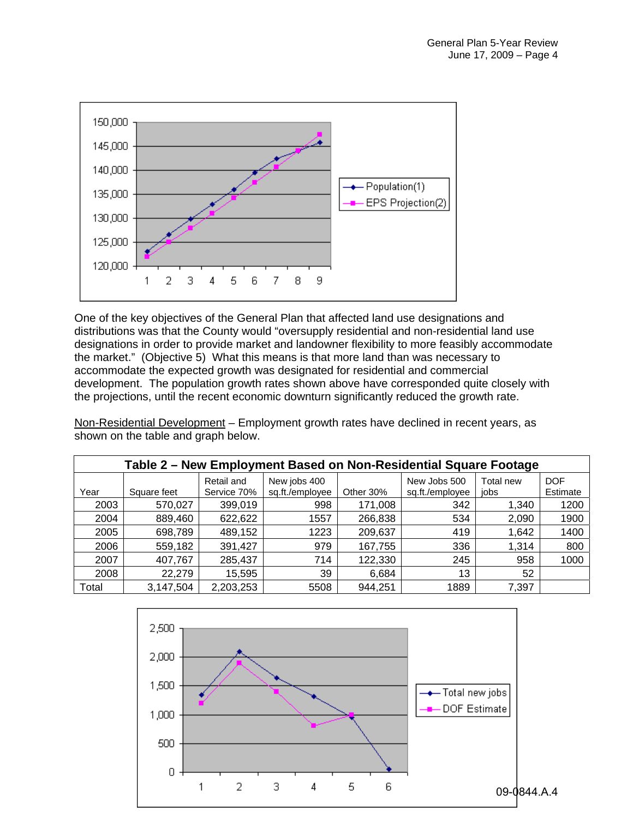

One of the key objectives of the General Plan that affected land use designations and distributions was that the County would "oversupply residential and non-residential land use designations in order to provide market and landowner flexibility to more feasibly accommodate the market." (Objective 5) What this means is that more land than was necessary to accommodate the expected growth was designated for residential and commercial development. The population growth rates shown above have corresponded quite closely with the projections, until the recent economic downturn significantly reduced the growth rate.

Non-Residential Development – Employment growth rates have declined in recent years, as shown on the table and graph below.

| Table 2 – New Employment Based on Non-Residential Square Footage |             |                           |                                 |           |                                 |                   |                        |  |  |  |
|------------------------------------------------------------------|-------------|---------------------------|---------------------------------|-----------|---------------------------------|-------------------|------------------------|--|--|--|
| Year                                                             | Square feet | Retail and<br>Service 70% | New jobs 400<br>sq.ft./employee | Other 30% | New Jobs 500<br>sq.ft./employee | Total new<br>iobs | <b>DOF</b><br>Estimate |  |  |  |
| 2003                                                             | 570,027     | 399,019                   | 998                             | 171,008   | 342                             | 1,340             | 1200                   |  |  |  |
| 2004                                                             | 889,460     | 622,622                   | 1557                            | 266,838   | 534                             | 2,090             | 1900                   |  |  |  |
| 2005                                                             | 698,789     | 489,152                   | 1223                            | 209,637   | 419                             | 1,642             | 1400                   |  |  |  |
| 2006                                                             | 559,182     | 391,427                   | 979                             | 167,755   | 336                             | 1,314             | 800                    |  |  |  |
| 2007                                                             | 407,767     | 285,437                   | 714                             | 122,330   | 245                             | 958               | 1000                   |  |  |  |
| 2008                                                             | 22,279      | 15,595                    | 39                              | 6,684     | 13                              | 52                |                        |  |  |  |
| Total                                                            | 3,147,504   | 2,203,253                 | 5508                            | 944,251   | 1889                            | 7,397             |                        |  |  |  |

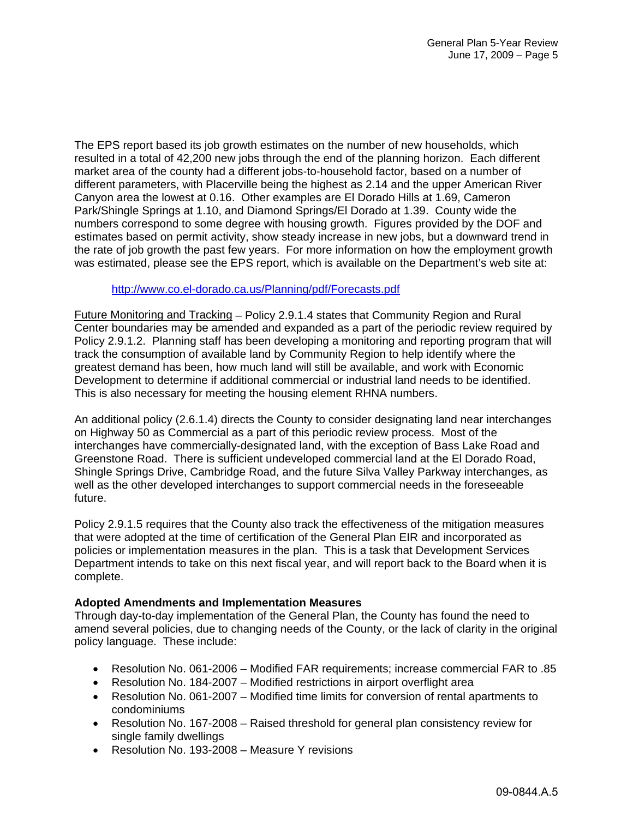The EPS report based its job growth estimates on the number of new households, which resulted in a total of 42,200 new jobs through the end of the planning horizon. Each different market area of the county had a different jobs-to-household factor, based on a number of different parameters, with Placerville being the highest as 2.14 and the upper American River Canyon area the lowest at 0.16. Other examples are El Dorado Hills at 1.69, Cameron Park/Shingle Springs at 1.10, and Diamond Springs/El Dorado at 1.39. County wide the numbers correspond to some degree with housing growth. Figures provided by the DOF and estimates based on permit activity, show steady increase in new jobs, but a downward trend in the rate of job growth the past few years. For more information on how the employment growth was estimated, please see the EPS report, which is available on the Department's web site at:

#### http://www.co.el-dorado.ca.us/Planning/pdf/Forecasts.pdf

Future Monitoring and Tracking – Policy 2.9.1.4 states that Community Region and Rural Center boundaries may be amended and expanded as a part of the periodic review required by Policy 2.9.1.2. Planning staff has been developing a monitoring and reporting program that will track the consumption of available land by Community Region to help identify where the greatest demand has been, how much land will still be available, and work with Economic Development to determine if additional commercial or industrial land needs to be identified. This is also necessary for meeting the housing element RHNA numbers.

An additional policy (2.6.1.4) directs the County to consider designating land near interchanges on Highway 50 as Commercial as a part of this periodic review process. Most of the interchanges have commercially-designated land, with the exception of Bass Lake Road and Greenstone Road. There is sufficient undeveloped commercial land at the El Dorado Road, Shingle Springs Drive, Cambridge Road, and the future Silva Valley Parkway interchanges, as well as the other developed interchanges to support commercial needs in the foreseeable future.

Policy 2.9.1.5 requires that the County also track the effectiveness of the mitigation measures that were adopted at the time of certification of the General Plan EIR and incorporated as policies or implementation measures in the plan. This is a task that Development Services Department intends to take on this next fiscal year, and will report back to the Board when it is complete.

# **Adopted Amendments and Implementation Measures**

Through day-to-day implementation of the General Plan, the County has found the need to amend several policies, due to changing needs of the County, or the lack of clarity in the original policy language. These include:

- Resolution No. 061-2006 Modified FAR requirements; increase commercial FAR to .85
- Resolution No. 184-2007 Modified restrictions in airport overflight area
- Resolution No. 061-2007 Modified time limits for conversion of rental apartments to condominiums
- Resolution No. 167-2008 Raised threshold for general plan consistency review for single family dwellings
- Resolution No. 193-2008 Measure Y revisions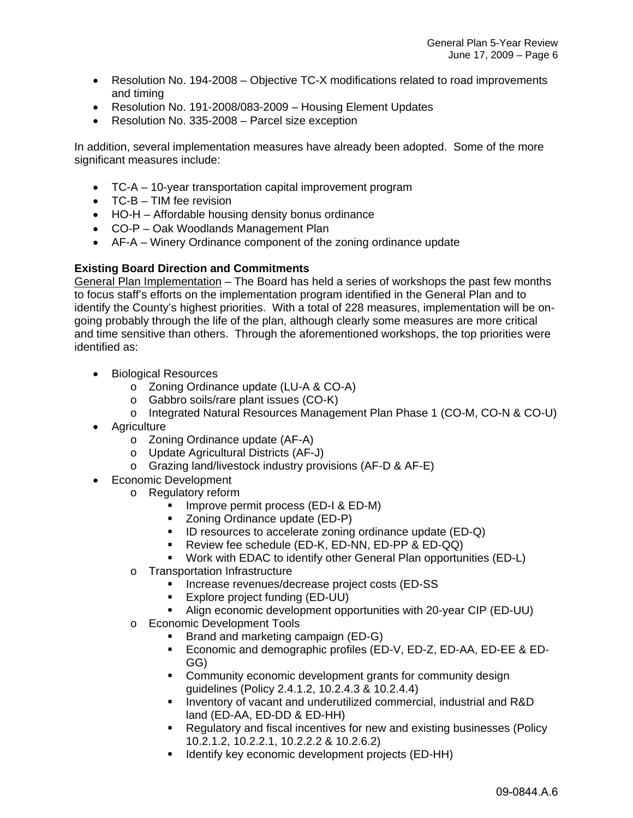- Resolution No. 194-2008 Objective TC-X modifications related to road improvements and timing
- Resolution No. 191-2008/083-2009 Housing Element Updates
- Resolution No. 335-2008 Parcel size exception

In addition, several implementation measures have already been adopted. Some of the more significant measures include:

- TC-A 10-year transportation capital improvement program
- TC-B TIM fee revision
- HO-H Affordable housing density bonus ordinance
- CO-P Oak Woodlands Management Plan
- AF-A Winery Ordinance component of the zoning ordinance update

# **Existing Board Direction and Commitments**

General Plan Implementation – The Board has held a series of workshops the past few months to focus staff's efforts on the implementation program identified in the General Plan and to identify the County's highest priorities. With a total of 228 measures, implementation will be ongoing probably through the life of the plan, although clearly some measures are more critical and time sensitive than others. Through the aforementioned workshops, the top priorities were identified as:

- Biological Resources
	- o Zoning Ordinance update (LU-A & CO-A)
	- o Gabbro soils/rare plant issues (CO-K)
	- o Integrated Natural Resources Management Plan Phase 1 (CO-M, CO-N & CO-U)
- Agriculture
	- o Zoning Ordinance update (AF-A)
	- o Update Agricultural Districts (AF-J)
	- o Grazing land/livestock industry provisions (AF-D & AF-E)
- Economic Development
	- o Regulatory reform
		- **Improve permit process (ED-I & ED-M)**
		- Zoning Ordinance update (ED-P)
		- ID resources to accelerate zoning ordinance update (ED-Q)
		- **Review fee schedule (ED-K, ED-NN, ED-PP & ED-QQ)**
		- Work with EDAC to identify other General Plan opportunities (ED-L)
		- o Transportation Infrastructure
			- **Increase revenues/decrease project costs (ED-SS)**
			- **Explore project funding (ED-UU)**
			- Align economic development opportunities with 20-year CIP (ED-UU)
		- o Economic Development Tools
			- Brand and marketing campaign (ED-G)
			- **Economic and demographic profiles (ED-V, ED-Z, ED-AA, ED-EE & ED-**GG)
			- **Community economic development grants for community design** guidelines (Policy 2.4.1.2, 10.2.4.3 & 10.2.4.4)
			- **Inventory of vacant and underutilized commercial, industrial and R&D** land (ED-AA, ED-DD & ED-HH)
			- Regulatory and fiscal incentives for new and existing businesses (Policy 10.2.1.2, 10.2.2.1, 10.2.2.2 & 10.2.6.2)
			- Identify key economic development projects (ED-HH)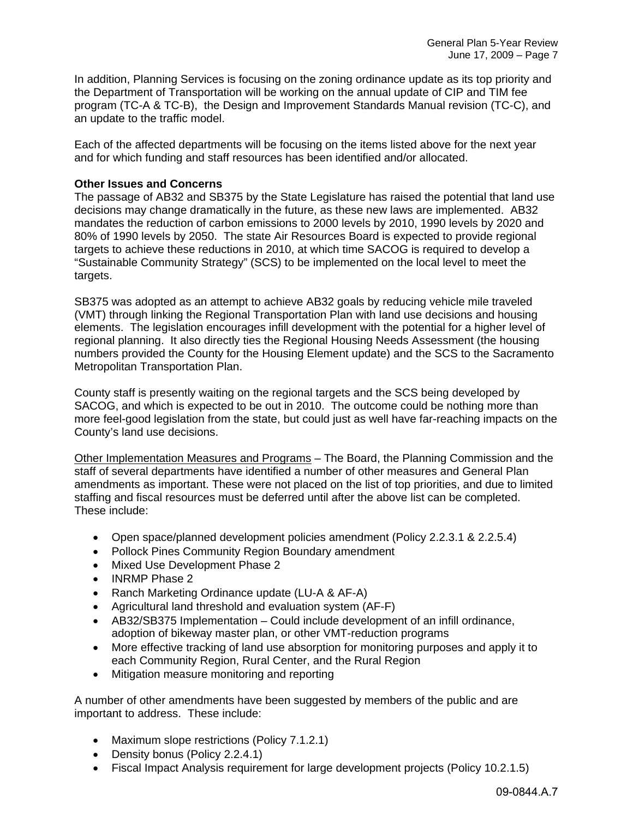In addition, Planning Services is focusing on the zoning ordinance update as its top priority and the Department of Transportation will be working on the annual update of CIP and TIM fee program (TC-A & TC-B), the Design and Improvement Standards Manual revision (TC-C), and an update to the traffic model.

Each of the affected departments will be focusing on the items listed above for the next year and for which funding and staff resources has been identified and/or allocated.

### **Other Issues and Concerns**

The passage of AB32 and SB375 by the State Legislature has raised the potential that land use decisions may change dramatically in the future, as these new laws are implemented. AB32 mandates the reduction of carbon emissions to 2000 levels by 2010, 1990 levels by 2020 and 80% of 1990 levels by 2050. The state Air Resources Board is expected to provide regional targets to achieve these reductions in 2010, at which time SACOG is required to develop a "Sustainable Community Strategy" (SCS) to be implemented on the local level to meet the targets.

SB375 was adopted as an attempt to achieve AB32 goals by reducing vehicle mile traveled (VMT) through linking the Regional Transportation Plan with land use decisions and housing elements. The legislation encourages infill development with the potential for a higher level of regional planning. It also directly ties the Regional Housing Needs Assessment (the housing numbers provided the County for the Housing Element update) and the SCS to the Sacramento Metropolitan Transportation Plan.

County staff is presently waiting on the regional targets and the SCS being developed by SACOG, and which is expected to be out in 2010. The outcome could be nothing more than more feel-good legislation from the state, but could just as well have far-reaching impacts on the County's land use decisions.

Other Implementation Measures and Programs – The Board, the Planning Commission and the staff of several departments have identified a number of other measures and General Plan amendments as important. These were not placed on the list of top priorities, and due to limited staffing and fiscal resources must be deferred until after the above list can be completed. These include:

- Open space/planned development policies amendment (Policy 2.2.3.1 & 2.2.5.4)
- Pollock Pines Community Region Boundary amendment
- Mixed Use Development Phase 2
- INRMP Phase 2
- Ranch Marketing Ordinance update (LU-A & AF-A)
- Agricultural land threshold and evaluation system (AF-F)
- AB32/SB375 Implementation Could include development of an infill ordinance, adoption of bikeway master plan, or other VMT-reduction programs
- More effective tracking of land use absorption for monitoring purposes and apply it to each Community Region, Rural Center, and the Rural Region
- Mitigation measure monitoring and reporting

A number of other amendments have been suggested by members of the public and are important to address. These include:

- Maximum slope restrictions (Policy 7.1.2.1)
- Density bonus (Policy 2.2.4.1)
- Fiscal Impact Analysis requirement for large development projects (Policy 10.2.1.5)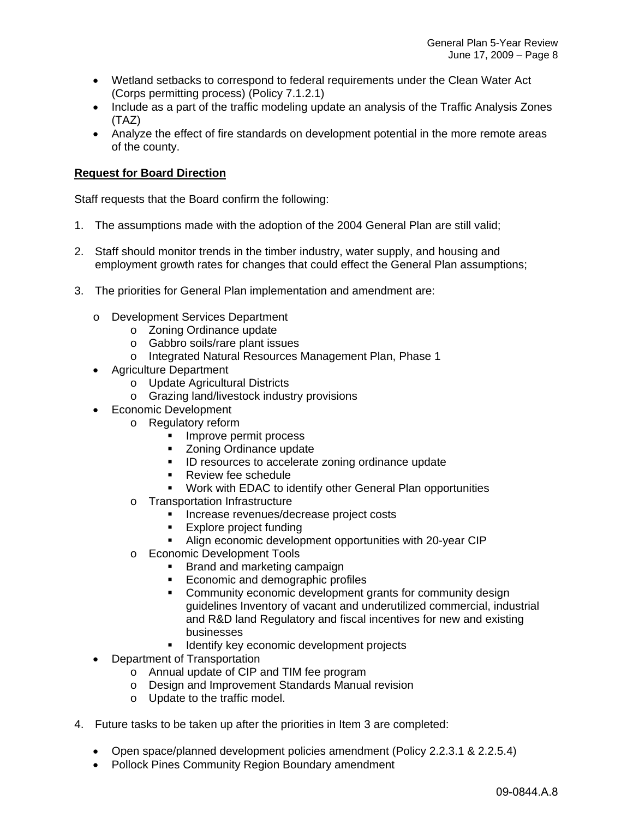- Wetland setbacks to correspond to federal requirements under the Clean Water Act (Corps permitting process) (Policy 7.1.2.1)
- Include as a part of the traffic modeling update an analysis of the Traffic Analysis Zones (TAZ)
- Analyze the effect of fire standards on development potential in the more remote areas of the county.

# **Request for Board Direction**

Staff requests that the Board confirm the following:

- 1. The assumptions made with the adoption of the 2004 General Plan are still valid;
- 2. Staff should monitor trends in the timber industry, water supply, and housing and employment growth rates for changes that could effect the General Plan assumptions;
- 3. The priorities for General Plan implementation and amendment are:
	- o Development Services Department
		- o Zoning Ordinance update
		- o Gabbro soils/rare plant issues
		- o Integrated Natural Resources Management Plan, Phase 1
	- Agriculture Department
		- o Update Agricultural Districts
		- o Grazing land/livestock industry provisions
	- Economic Development
		- o Regulatory reform
			- **Improve permit process**
			- **EXECONING** Zoning Ordinance update
			- **ID resources to accelerate zoning ordinance update**
			- **Review fee schedule**
			- Work with EDAC to identify other General Plan opportunities
			- o Transportation Infrastructure
				- **Increase revenues/decrease project costs**
				- **Explore project funding**
				- Align economic development opportunities with 20-year CIP
			- o Economic Development Tools
				- **Brand and marketing campaign**
				- Economic and demographic profiles
				- **Community economic development grants for community design** guidelines Inventory of vacant and underutilized commercial, industrial and R&D land Regulatory and fiscal incentives for new and existing businesses
				- **If Identify key economic development projects**
	- Department of Transportation
		- o Annual update of CIP and TIM fee program
		- o Design and Improvement Standards Manual revision
		- o Update to the traffic model.
- 4. Future tasks to be taken up after the priorities in Item 3 are completed:
	- Open space/planned development policies amendment (Policy 2.2.3.1 & 2.2.5.4)
	- Pollock Pines Community Region Boundary amendment